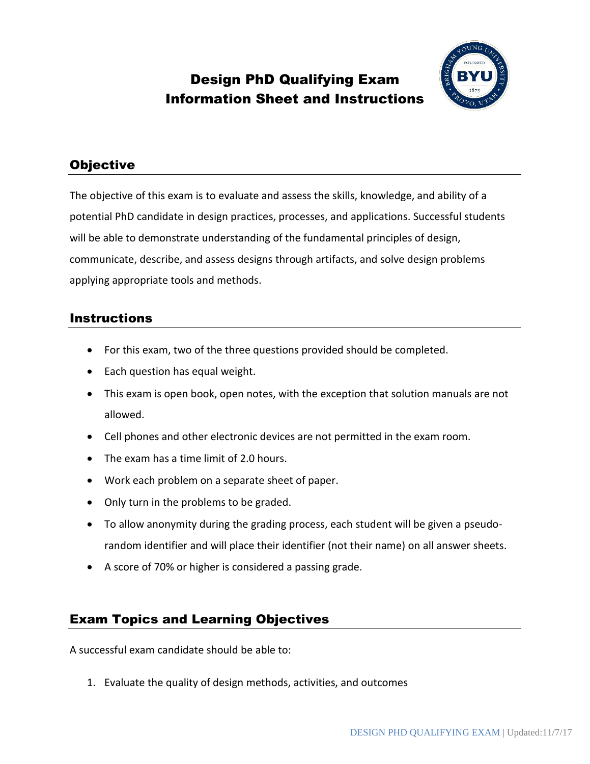# Design PhD Qualifying Exam Information Sheet and Instructions



## **Objective**

The objective of this exam is to evaluate and assess the skills, knowledge, and ability of a potential PhD candidate in design practices, processes, and applications. Successful students will be able to demonstrate understanding of the fundamental principles of design, communicate, describe, and assess designs through artifacts, and solve design problems applying appropriate tools and methods.

## Instructions

- For this exam, two of the three questions provided should be completed.
- Each question has equal weight.
- This exam is open book, open notes, with the exception that solution manuals are not allowed.
- Cell phones and other electronic devices are not permitted in the exam room.
- The exam has a time limit of 2.0 hours.
- Work each problem on a separate sheet of paper.
- Only turn in the problems to be graded.
- To allow anonymity during the grading process, each student will be given a pseudorandom identifier and will place their identifier (not their name) on all answer sheets.
- A score of 70% or higher is considered a passing grade.

## Exam Topics and Learning Objectives

A successful exam candidate should be able to:

1. Evaluate the quality of design methods, activities, and outcomes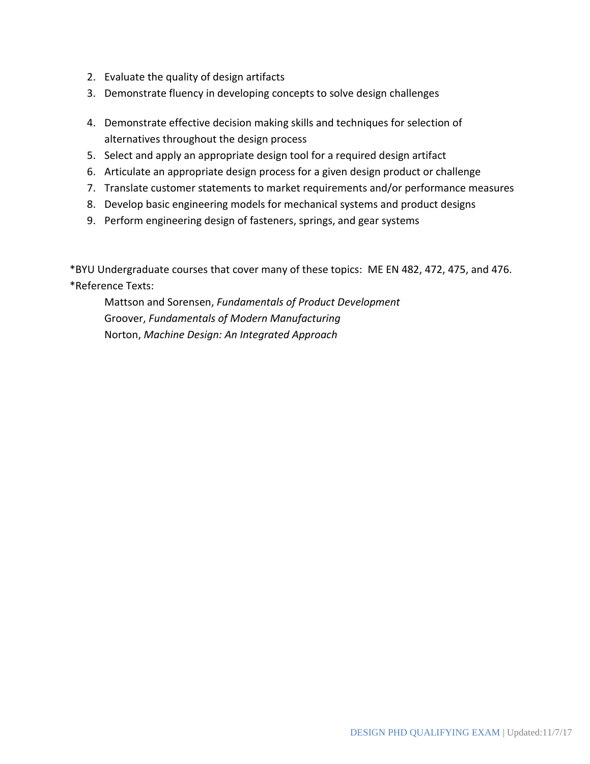- 2. Evaluate the quality of design artifacts
- 3. Demonstrate fluency in developing concepts to solve design challenges
- 4. Demonstrate effective decision making skills and techniques for selection of alternatives throughout the design process
- 5. Select and apply an appropriate design tool for a required design artifact
- 6. Articulate an appropriate design process for a given design product or challenge
- 7. Translate customer statements to market requirements and/or performance measures
- 8. Develop basic engineering models for mechanical systems and product designs
- 9. Perform engineering design of fasteners, springs, and gear systems

\*BYU Undergraduate courses that cover many of these topics: ME EN 482, 472, 475, and 476. \*Reference Texts:

Mattson and Sorensen, *Fundamentals of Product Development* Groover, *Fundamentals of Modern Manufacturing* Norton, *Machine Design: An Integrated Approach*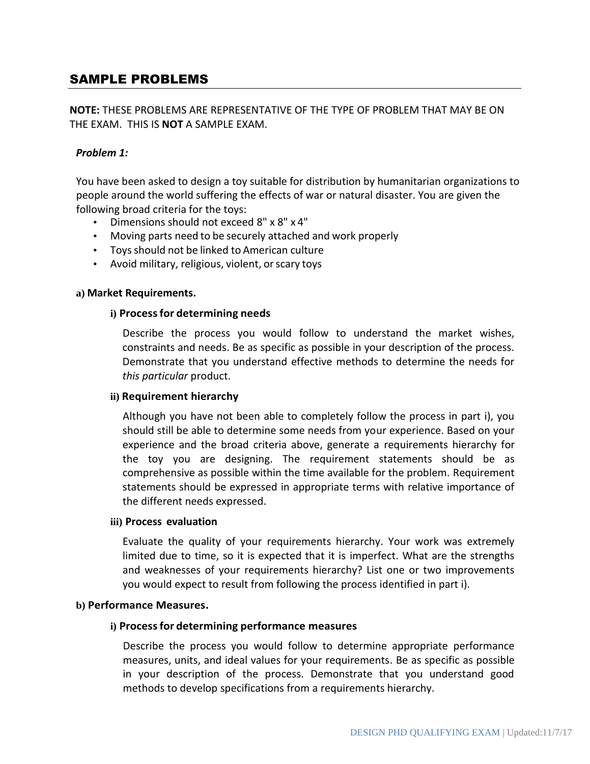## SAMPLE PROBLEMS

## **NOTE:** THESE PROBLEMS ARE REPRESENTATIVE OF THE TYPE OF PROBLEM THAT MAY BE ON THE EXAM. THIS IS **NOT** A SAMPLE EXAM.

### *Problem 1:*

You have been asked to design a toy suitable for distribution by humanitarian organizations to people around the world suffering the effects of war or natural disaster. You are given the following broad criteria for the toys:

- Dimensions should not exceed 8" x 8" x 4"
- Moving parts need to be securely attached and work properly
- Toysshould not be linked to American culture
- Avoid military, religious, violent, or scary toys

#### **a) Market Requirements.**

#### **i) Processfor determining needs**

Describe the process you would follow to understand the market wishes, constraints and needs. Be as specific as possible in your description of the process. Demonstrate that you understand effective methods to determine the needs for *this particular* product.

#### **ii) Requirement hierarchy**

Although you have not been able to completely follow the process in part i), you should still be able to determine some needs from your experience. Based on your experience and the broad criteria above, generate a requirements hierarchy for the toy you are designing. The requirement statements should be as comprehensive as possible within the time available for the problem. Requirement statements should be expressed in appropriate terms with relative importance of the different needs expressed.

#### **iii) Process evaluation**

Evaluate the quality of your requirements hierarchy. Your work was extremely limited due to time, so it is expected that it is imperfect. What are the strengths and weaknesses of your requirements hierarchy? List one or two improvements you would expect to result from following the process identified in part i).

#### **b) Performance Measures.**

#### **i) Processfor determining performance measures**

Describe the process you would follow to determine appropriate performance measures, units, and ideal values for your requirements. Be as specific as possible in your description of the process. Demonstrate that you understand good methods to develop specifications from a requirements hierarchy.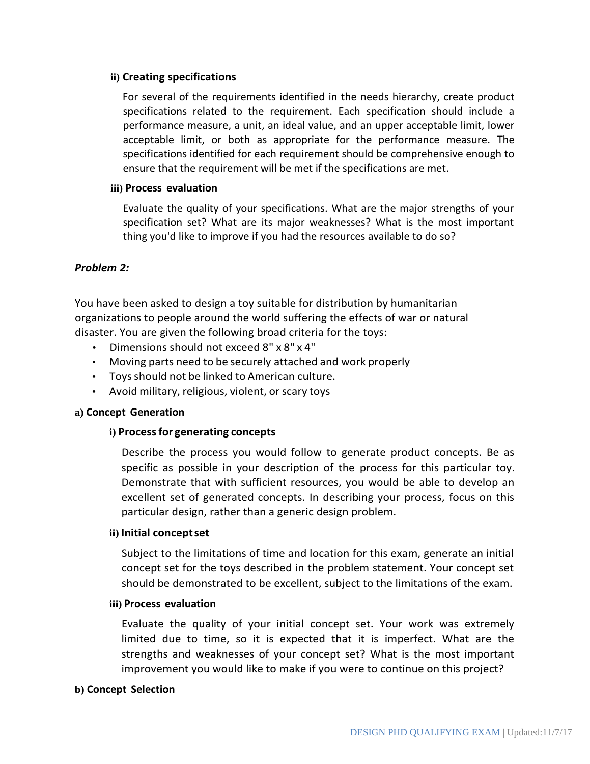### **ii) Creating specifications**

For several of the requirements identified in the needs hierarchy, create product specifications related to the requirement. Each specification should include a performance measure, a unit, an ideal value, and an upper acceptable limit, lower acceptable limit, or both as appropriate for the performance measure. The specifications identified for each requirement should be comprehensive enough to ensure that the requirement will be met if the specifications are met.

### **iii) Process evaluation**

Evaluate the quality of your specifications. What are the major strengths of your specification set? What are its major weaknesses? What is the most important thing you'd like to improve if you had the resources available to do so?

### *Problem 2:*

You have been asked to design a toy suitable for distribution by humanitarian organizations to people around the world suffering the effects of war or natural disaster. You are given the following broad criteria for the toys:

- Dimensions should not exceed 8" x 8" x 4"
- Moving parts need to be securely attached and work properly
- Toysshould not be linked to American culture.
- Avoid military, religious, violent, or scary toys

#### **a) Concept Generation**

## **i) Processfor generating concepts**

Describe the process you would follow to generate product concepts. Be as specific as possible in your description of the process for this particular toy. Demonstrate that with sufficient resources, you would be able to develop an excellent set of generated concepts. In describing your process, focus on this particular design, rather than a generic design problem.

#### **ii) Initial conceptset**

Subject to the limitations of time and location for this exam, generate an initial concept set for the toys described in the problem statement. Your concept set should be demonstrated to be excellent, subject to the limitations of the exam.

#### **iii) Process evaluation**

Evaluate the quality of your initial concept set. Your work was extremely limited due to time, so it is expected that it is imperfect. What are the strengths and weaknesses of your concept set? What is the most important improvement you would like to make if you were to continue on this project?

#### **b) Concept Selection**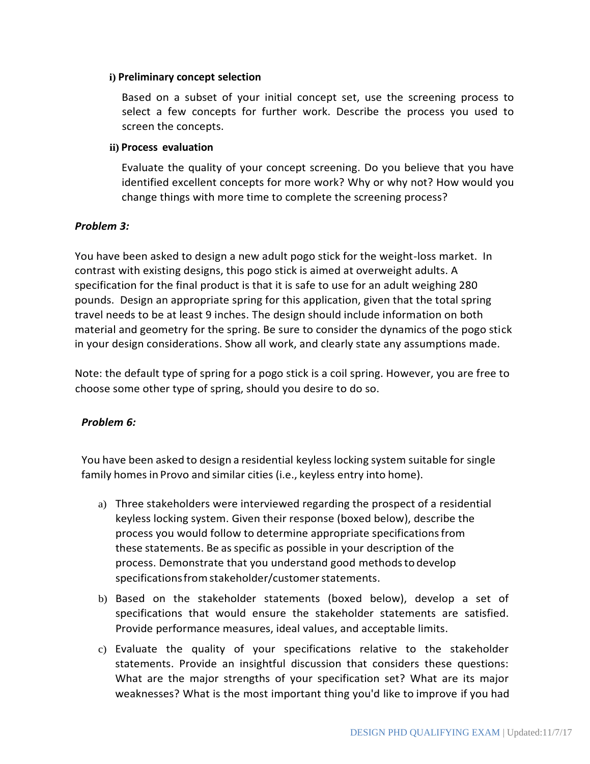#### **i) Preliminary concept selection**

Based on a subset of your initial concept set, use the screening process to select a few concepts for further work. Describe the process you used to screen the concepts.

### **ii) Process evaluation**

Evaluate the quality of your concept screening. Do you believe that you have identified excellent concepts for more work? Why or why not? How would you change things with more time to complete the screening process?

## *Problem 3:*

You have been asked to design a new adult pogo stick for the weight-loss market. In contrast with existing designs, this pogo stick is aimed at overweight adults. A specification for the final product is that it is safe to use for an adult weighing 280 pounds. Design an appropriate spring for this application, given that the total spring travel needs to be at least 9 inches. The design should include information on both material and geometry for the spring. Be sure to consider the dynamics of the pogo stick in your design considerations. Show all work, and clearly state any assumptions made.

Note: the default type of spring for a pogo stick is a coil spring. However, you are free to choose some other type of spring, should you desire to do so.

## *Problem 6:*

You have been asked to design a residential keyless locking system suitable for single family homes in Provo and similar cities (i.e., keyless entry into home).

- a) Three stakeholders were interviewed regarding the prospect of a residential keyless locking system. Given their response (boxed below), describe the process you would follow to determine appropriate specificationsfrom these statements. Be as specific as possible in your description of the process. Demonstrate that you understand good methodsto develop specifications from stakeholder/customer statements.
- b) Based on the stakeholder statements (boxed below), develop a set of specifications that would ensure the stakeholder statements are satisfied. Provide performance measures, ideal values, and acceptable limits.
- c) Evaluate the quality of your specifications relative to the stakeholder statements. Provide an insightful discussion that considers these questions: What are the major strengths of your specification set? What are its major weaknesses? What is the most important thing you'd like to improve if you had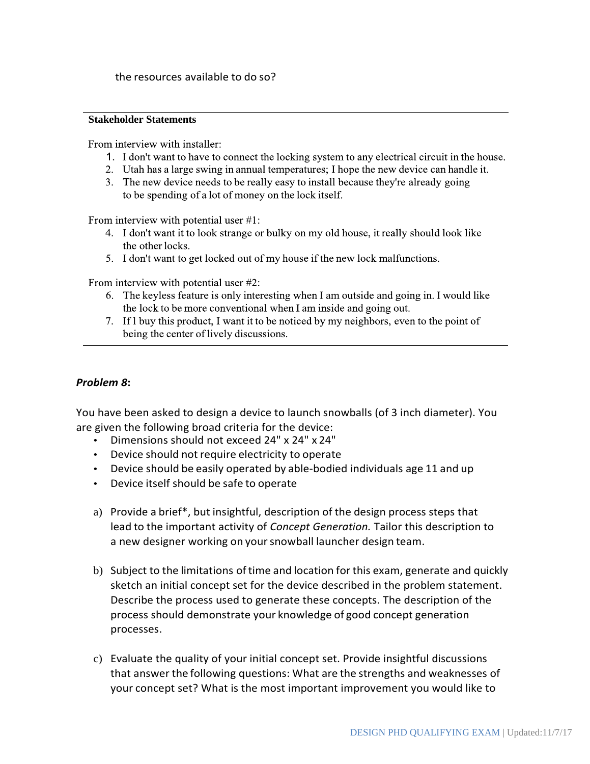#### **Stakeholder Statements**

From interview with installer:

- 1. I don't want to have to connect the locking system to any electrical circuit in the house.
- 2. Utah has a large swing in annual temperatures; I hope the new device can handle it.
- 3. The new device needs to be really easy to install because they're already going to be spending of a lot of money on the lock itself.

From interview with potential user  $\#1$ :

- 4. I don't want it to look strange or bulky on my old house, it really should look like the other locks.
- 5. I don't want to get locked out of my house if the new lock malfunctions.

From interview with potential user #2:

- 6. The keyless feature is only interesting when I am outside and going in. I would like the lock to be more conventional when I am inside and going out.
- 7. If I buy this product, I want it to be noticed by my neighbors, even to the point of being the center of lively discussions.

## *Problem 8***:**

You have been asked to design a device to launch snowballs (of 3 inch diameter). You are given the following broad criteria for the device:

- Dimensions should not exceed 24" x 24" x 24"
- Device should not require electricity to operate
- Device should be easily operated by able-bodied individuals age 11 and up
- Device itself should be safe to operate
- a) Provide a brief\*, but insightful, description of the design process steps that lead to the important activity of *Concept Generation.* Tailor this description to a new designer working on your snowball launcher design team.
- b) Subject to the limitations oftime and location forthis exam, generate and quickly sketch an initial concept set for the device described in the problem statement. Describe the process used to generate these concepts. The description of the process should demonstrate your knowledge of good concept generation processes.
- c) Evaluate the quality of your initial concept set. Provide insightful discussions that answer the following questions: What are the strengths and weaknesses of your concept set? What is the most important improvement you would like to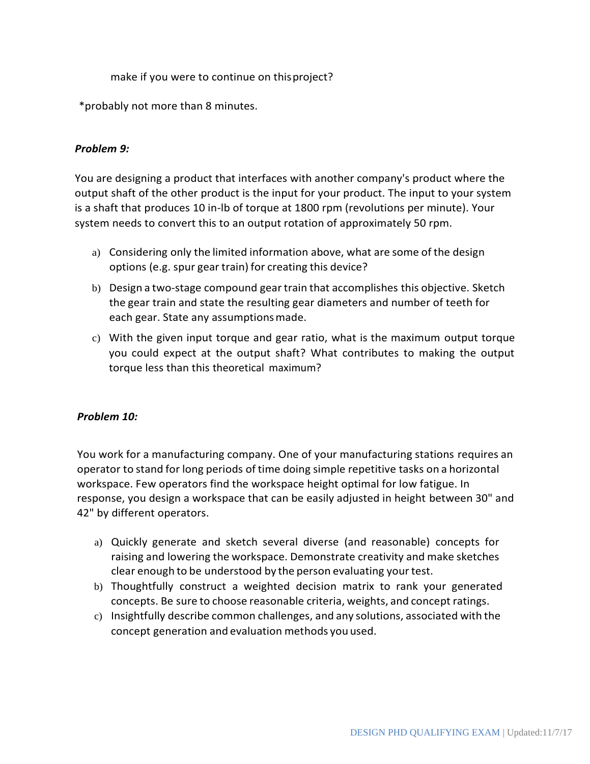make if you were to continue on thisproject?

\*probably not more than 8 minutes.

## *Problem 9:*

You are designing a product that interfaces with another company's product where the output shaft of the other product is the input for your product. The input to your system is a shaft that produces 10 in-lb of torque at 1800 rpm (revolutions per minute). Your system needs to convert this to an output rotation of approximately 50 rpm.

- a) Considering only the limited information above, what are some of the design options (e.g. spur gear train) for creating this device?
- b) Design a two-stage compound geartrain that accomplishes this objective. Sketch the gear train and state the resulting gear diameters and number of teeth for each gear. State any assumptionsmade.
- c) With the given input torque and gear ratio, what is the maximum output torque you could expect at the output shaft? What contributes to making the output torque less than this theoretical maximum?

## *Problem 10:*

You work for a manufacturing company. One of your manufacturing stations requires an operator to stand for long periods of time doing simple repetitive tasks on a horizontal workspace. Few operators find the workspace height optimal for low fatigue. In response, you design a workspace that can be easily adjusted in height between 30" and 42" by different operators.

- a) Quickly generate and sketch several diverse (and reasonable) concepts for raising and lowering the workspace. Demonstrate creativity and make sketches clear enough to be understood by the person evaluating yourtest.
- b) Thoughtfully construct a weighted decision matrix to rank your generated concepts. Be sure to choose reasonable criteria, weights, and concept ratings.
- c) Insightfully describe common challenges, and any solutions, associated with the concept generation and evaluation methods you used.